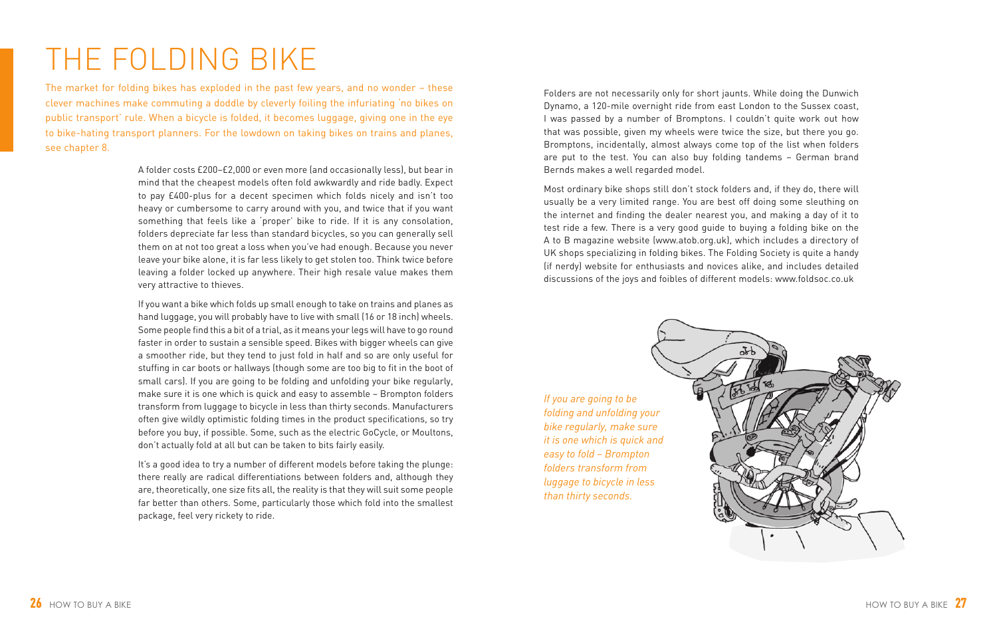## THE FOLDING BIKE

The market for folding bikes has exploded in the past few years, and no wonder – these clever machines make commuting a doddle by cleverly foiling the infuriating 'no bikes on public transport' rule. When a bicycle is folded, it becomes luggage, giving one in the eye to bike-hating transport planners. For the lowdown on taking bikes on trains and planes, see chapter 8.

> A folder costs £200–£2,000 or even more (and occasionally less), but bear in mind that the cheapest models often fold awkwardly and ride badly. Expect to pay £400-plus for a decent specimen which folds nicely and isn't too heavy or cumbersome to carry around with you, and twice that if you want something that feels like a 'proper' bike to ride. If it is any consolation, folders depreciate far less than standard bicycles, so you can generally sell them on at not too great a loss when you've had enough. Because you never leave your bike alone, it is far less likely to get stolen too. Think twice before leaving a folder locked up anywhere. Their high resale value makes them very attractive to thieves.

> If you want a bike which folds up small enough to take on trains and planes as hand luggage, you will probably have to live with small (16 or 18 inch) wheels. Some people find this a bit of a trial, as it means your legs will have to go round faster in order to sustain a sensible speed. Bikes with bigger wheels can give a smoother ride, but they tend to just fold in half and so are only useful for stuffing in car boots or hallways (though some are too big to fit in the boot of small cars). If you are going to be folding and unfolding your bike regularly, make sure it is one which is quick and easy to assemble – Brompton folders transform from luggage to bicycle in less than thirty seconds. Manufacturers often give wildly optimistic folding times in the product specifications, so try before you buy, if possible. Some, such as the electric GoCycle, or Moultons, don't actually fold at all but can be taken to bits fairly easily.

> It's a good idea to try a number of different models before taking the plunge: there really are radical differentiations between folders and, although they are, theoretically, one size fits all, the reality is that they will suit some people far better than others. Some, particularly those which fold into the smallest package, feel very rickety to ride.

Folders are not necessarily only for short jaunts. While doing the Dunwich Dynamo, a 120-mile overnight ride from east London to the Sussex coast, I was passed by a number of Bromptons. I couldn't quite work out how that was possible, given my wheels were twice the size, but there you go. Bromptons, incidentally, almost always come top of the list when folders are put to the test. You can also buy folding tandems – German brand Bernds makes a well regarded model.

Most ordinary bike shops still don't stock folders and, if they do, there will usually be a very limited range. You are best off doing some sleuthing on the internet and finding the dealer nearest you, and making a day of it to test ride a few. There is a very good guide to buying a folding bike on the A to B magazine website (www.atob.org.uk), which includes a directory of UK shops specializing in folding bikes. The Folding Society is quite a handy (if nerdy) website for enthusiasts and novices alike, and includes detailed discussions of the joys and foibles of different models: www.foldsoc.co.uk

*If you are going to be folding and unfolding your bike regularly, make sure it is one which is quick and easy to fold – Brompton folders transform from luggage to bicycle in less than thirty seconds.*